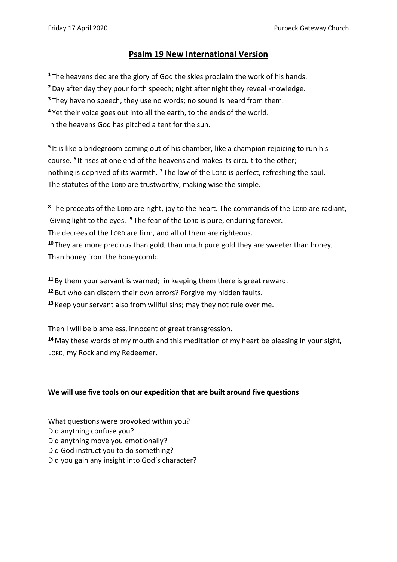## **Psalm 19 New International Version**

 The heavens declare the glory of God the skies proclaim the work of his hands. Day after day they pour forth speech; night after night they reveal knowledge. They have no speech, they use no words; no sound is heard from them. Yet their voice goes out into all the earth, to the ends of the world. In the heavens God has pitched a tent for the sun.

**5** It is like a bridegroom coming out of his chamber, like a champion rejoicing to run his course. **<sup>6</sup>** It rises at one end of the heavens and makes its circuit to the other; nothing is deprived of its warmth. **<sup>7</sup>** The law of the LORD is perfect, refreshing the soul. The statutes of the LORD are trustworthy, making wise the simple.

**<sup>8</sup>** The precepts of the LORD are right, joy to the heart. The commands of the LORD are radiant, Giving light to the eyes. **<sup>9</sup>** The fear of the LORD is pure, enduring forever. The decrees of the LORD are firm, and all of them are righteous. **<sup>10</sup>** They are more precious than gold, than much pure gold they are sweeter than honey, Than honey from the honeycomb.

**<sup>11</sup>** By them your servant is warned; in keeping them there is great reward.

**<sup>12</sup>** But who can discern their own errors? Forgive my hidden faults.

**<sup>13</sup>** Keep your servant also from willful sins; may they not rule over me.

Then I will be blameless, innocent of great transgression.

**<sup>14</sup>** May these words of my mouth and this meditation of my heart be pleasing in your sight, LORD, my Rock and my Redeemer.

## **We will use five tools on our expedition that are built around five questions**

What questions were provoked within you? Did anything confuse you? Did anything move you emotionally? Did God instruct you to do something? Did you gain any insight into God's character?